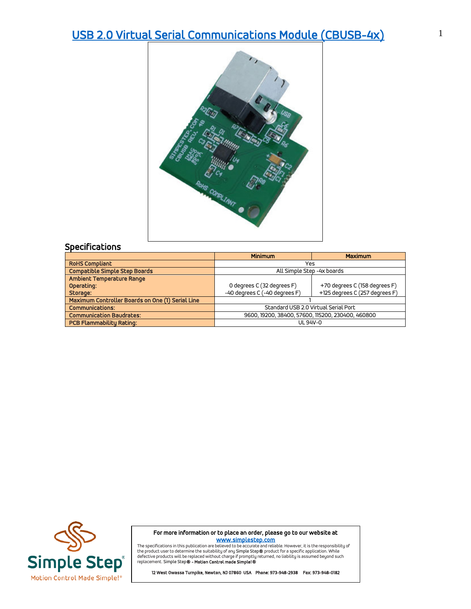## [USB 2.0 Virtual Serial Communications Module \(CBUSB-4x\)](https://simplestep.com/product/cbrs232/) 1



|                                                  | <b>Minimum</b>                                    | <b>Maximum</b>                 |
|--------------------------------------------------|---------------------------------------------------|--------------------------------|
| <b>RoHS Compliant</b>                            | Yes                                               |                                |
| <b>Compatible Simple Step Boards</b>             | All Simple Step -4x boards                        |                                |
| Ambient Temperature Range                        |                                                   |                                |
| Operating:                                       | 0 degrees C (32 degrees F)                        | +70 degrees C (158 degrees F)  |
| Storage:                                         | -40 degrees C (-40 degrees F)                     | +125 degrees C (257 degrees F) |
| Maximum Controller Boards on One (1) Serial Line |                                                   |                                |
| <b>Communications:</b>                           | Standard USB 2.0 Virtual Serial Port              |                                |
| <b>Communication Baudrates:</b>                  | 9600, 19200, 38400, 57600, 115200, 230400, 460800 |                                |
| <b>PCB Flammability Rating:</b>                  | UL 94V-0                                          |                                |



For more information or to place an order, please go to our website at

**WWW.Simplestep.com**<br>The specifications in this publication are believed to be accurate and reliable. However, it is the responsibility of<br>defective product swill be replaced without charge if promptly returned, no liabili

12 West Owassa Turnpike, Newton, NJ 07860 USA Phone: 973-948-2938 Fax: 973-948-0182